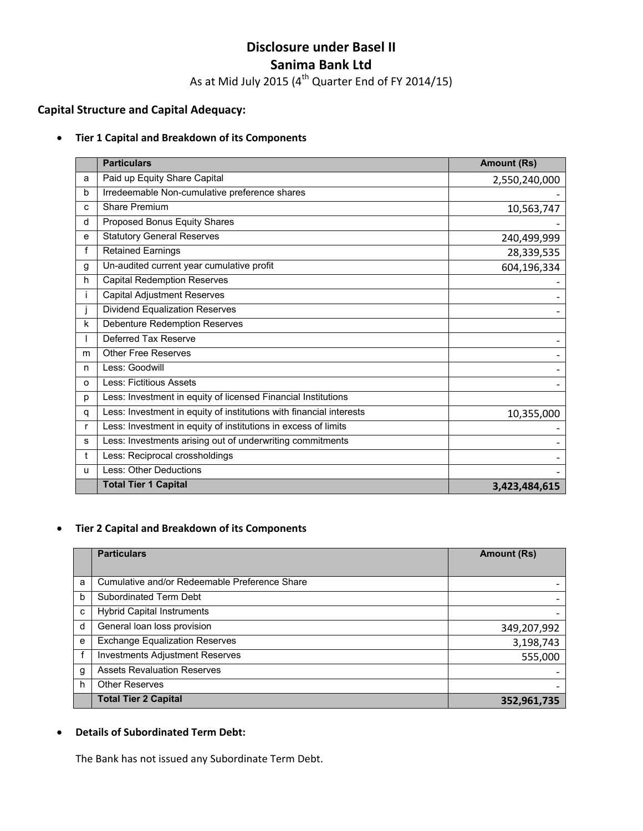# **Disclosure under Basel II Sanima Bank Ltd**

As at Mid July 2015 ( $4<sup>th</sup>$  Quarter End of FY 2014/15)

# **Capital Structure and Capital Adequacy:**

#### • **Tier 1 Capital and Breakdown of its Components**

|              | <b>Particulars</b>                                                  | <b>Amount (Rs)</b> |
|--------------|---------------------------------------------------------------------|--------------------|
| a            | Paid up Equity Share Capital                                        | 2,550,240,000      |
| b            | Irredeemable Non-cumulative preference shares                       |                    |
| c            | Share Premium                                                       | 10,563,747         |
| d            | Proposed Bonus Equity Shares                                        |                    |
| е            | <b>Statutory General Reserves</b>                                   | 240,499,999        |
| f            | <b>Retained Earnings</b>                                            | 28,339,535         |
| g            | Un-audited current year cumulative profit                           | 604,196,334        |
| h            | <b>Capital Redemption Reserves</b>                                  |                    |
|              | <b>Capital Adjustment Reserves</b>                                  |                    |
|              | Dividend Equalization Reserves                                      |                    |
| k            | <b>Debenture Redemption Reserves</b>                                |                    |
|              | Deferred Tax Reserve                                                |                    |
| m            | <b>Other Free Reserves</b>                                          |                    |
| n            | Less: Goodwill                                                      |                    |
| O            | <b>Less: Fictitious Assets</b>                                      |                    |
| p            | Less: Investment in equity of licensed Financial Institutions       |                    |
| q            | Less: Investment in equity of institutions with financial interests | 10,355,000         |
| $\mathsf{r}$ | Less: Investment in equity of institutions in excess of limits      |                    |
| s            | Less: Investments arising out of underwriting commitments           |                    |
| t            | Less: Reciprocal crossholdings                                      |                    |
| u            | Less: Other Deductions                                              |                    |
|              | <b>Total Tier 1 Capital</b>                                         | 3,423,484,615      |

# • **Tier 2 Capital and Breakdown of its Components**

|   | <b>Particulars</b>                            | <b>Amount (Rs)</b> |
|---|-----------------------------------------------|--------------------|
|   |                                               |                    |
| a | Cumulative and/or Redeemable Preference Share |                    |
| b | Subordinated Term Debt                        |                    |
| c | <b>Hybrid Capital Instruments</b>             |                    |
| d | General loan loss provision                   | 349,207,992        |
| e | <b>Exchange Equalization Reserves</b>         | 3,198,743          |
|   | <b>Investments Adjustment Reserves</b>        | 555,000            |
| g | <b>Assets Revaluation Reserves</b>            |                    |
| h | <b>Other Reserves</b>                         |                    |
|   | <b>Total Tier 2 Capital</b>                   | 352,961,735        |

#### • **Details of Subordinated Term Debt:**

The Bank has not issued any Subordinate Term Debt.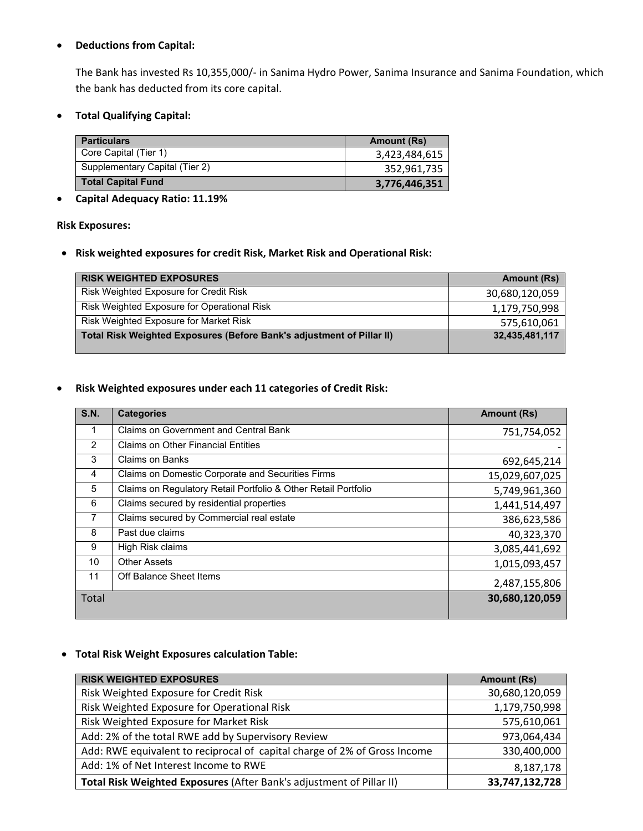## • **Deductions from Capital:**

The Bank has invested Rs 10,355,000/‐ in Sanima Hydro Power, Sanima Insurance and Sanima Foundation, which the bank has deducted from its core capital.

• **Total Qualifying Capital:** 

| <b>Particulars</b>             | <b>Amount (Rs)</b> |
|--------------------------------|--------------------|
| Core Capital (Tier 1)          | 3,423,484,615      |
| Supplementary Capital (Tier 2) | 352,961,735        |
| <b>Total Capital Fund</b>      | 3,776,446,351      |

# • **Capital Adequacy Ratio: 11.19%**

#### **Risk Exposures:**

• **Risk weighted exposures for credit Risk, Market Risk and Operational Risk:** 

| <b>RISK WEIGHTED EXPOSURES</b>                                        | <b>Amount (Rs)</b> |
|-----------------------------------------------------------------------|--------------------|
| Risk Weighted Exposure for Credit Risk                                | 30,680,120,059     |
| Risk Weighted Exposure for Operational Risk                           | 1,179,750,998      |
| Risk Weighted Exposure for Market Risk                                | 575,610,061        |
| Total Risk Weighted Exposures (Before Bank's adjustment of Pillar II) | 32,435,481,117     |

#### • **Risk Weighted exposures under each 11 categories of Credit Risk:**

| <b>S.N.</b> | <b>Categories</b>                                              | <b>Amount (Rs)</b> |
|-------------|----------------------------------------------------------------|--------------------|
|             | <b>Claims on Government and Central Bank</b>                   | 751,754,052        |
| 2           | <b>Claims on Other Financial Entities</b>                      |                    |
| 3           | Claims on Banks                                                | 692,645,214        |
| 4           | Claims on Domestic Corporate and Securities Firms              | 15,029,607,025     |
| 5           | Claims on Regulatory Retail Portfolio & Other Retail Portfolio | 5,749,961,360      |
| 6           | Claims secured by residential properties                       | 1,441,514,497      |
| 7           | Claims secured by Commercial real estate                       | 386,623,586        |
| 8           | Past due claims                                                | 40,323,370         |
| 9           | High Risk claims                                               | 3,085,441,692      |
| 10          | <b>Other Assets</b>                                            | 1,015,093,457      |
| 11          | Off Balance Sheet Items                                        | 2,487,155,806      |
| Total       |                                                                | 30,680,120,059     |

## • **Total Risk Weight Exposures calculation Table:**

| <b>RISK WEIGHTED EXPOSURES</b>                                            | <b>Amount (Rs)</b> |
|---------------------------------------------------------------------------|--------------------|
| Risk Weighted Exposure for Credit Risk                                    | 30,680,120,059     |
| Risk Weighted Exposure for Operational Risk                               | 1,179,750,998      |
| Risk Weighted Exposure for Market Risk                                    | 575,610,061        |
| Add: 2% of the total RWE add by Supervisory Review                        | 973,064,434        |
| Add: RWE equivalent to reciprocal of capital charge of 2% of Gross Income | 330,400,000        |
| Add: 1% of Net Interest Income to RWE                                     | 8,187,178          |
| Total Risk Weighted Exposures (After Bank's adjustment of Pillar II)      | 33,747,132,728     |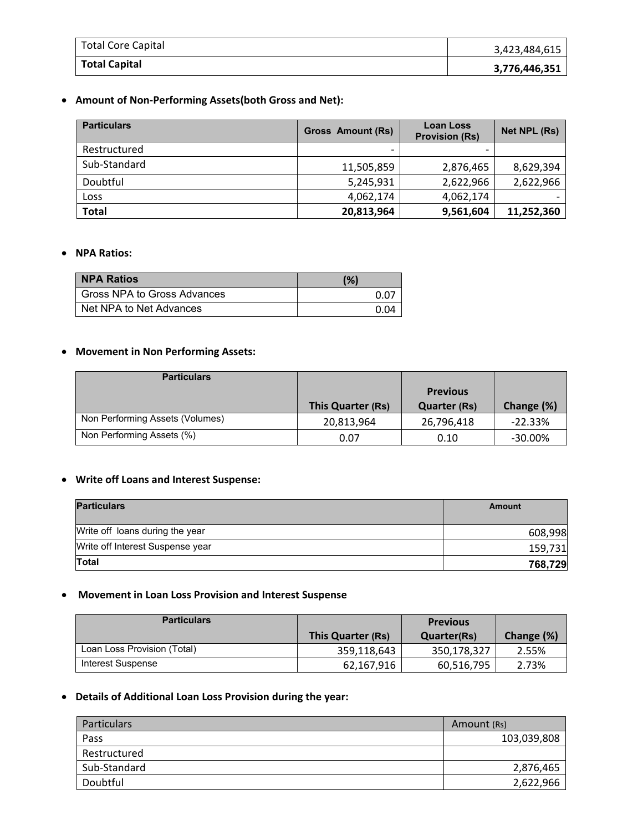| <b>Total Core Capital</b> | 3,423,484,615 |
|---------------------------|---------------|
| <b>Total Capital</b>      | 3,776,446,351 |

# • **Amount of Non‐Performing Assets(both Gross and Net):**

| <b>Particulars</b> | <b>Gross Amount (Rs)</b> | <b>Loan Loss</b><br><b>Provision (Rs)</b> | Net NPL (Rs) |
|--------------------|--------------------------|-------------------------------------------|--------------|
| Restructured       | $\overline{\phantom{0}}$ |                                           |              |
| Sub-Standard       | 11,505,859               | 2,876,465                                 | 8,629,394    |
| Doubtful           | 5,245,931                | 2,622,966                                 | 2,622,966    |
| Loss               | 4,062,174                | 4,062,174                                 |              |
| <b>Total</b>       | 20,813,964               | 9,561,604                                 | 11,252,360   |

#### • **NPA Ratios:**

| <b>NPA Ratios</b>           | (%)  |
|-----------------------------|------|
| Gross NPA to Gross Advances | 0.07 |
| Net NPA to Net Advances     | 0 04 |

## • **Movement in Non Performing Assets:**

| <b>Particulars</b>              |                   |                                        |            |
|---------------------------------|-------------------|----------------------------------------|------------|
|                                 | This Quarter (Rs) | <b>Previous</b><br><b>Quarter (Rs)</b> | Change (%) |
| Non Performing Assets (Volumes) | 20,813,964        | 26,796,418                             | $-22.33%$  |
| Non Performing Assets (%)       | 0.07              | 0.10                                   | $-30.00\%$ |

### • **Write off Loans and Interest Suspense:**

| <b>Particulars</b>               | Amount  |
|----------------------------------|---------|
| Write off loans during the year  | 608,998 |
| Write off Interest Suspense year | 159,731 |
| <b>Total</b>                     | 768,729 |

### • **Movement in Loan Loss Provision and Interest Suspense**

| <b>Particulars</b>          |                   | <b>Previous</b>    |            |
|-----------------------------|-------------------|--------------------|------------|
|                             | This Quarter (Rs) | <b>Quarter(Rs)</b> | Change (%) |
| Loan Loss Provision (Total) | 359,118,643       | 350,178,327        | 2.55%      |
| Interest Suspense           | 62,167,916        | 60,516,795         | 2.73%      |

# • **Details of Additional Loan Loss Provision during the year:**

| <b>Particulars</b> | Amount (Rs) |
|--------------------|-------------|
| Pass               | 103,039,808 |
| Restructured       |             |
| Sub-Standard       | 2,876,465   |
| Doubtful           | 2,622,966   |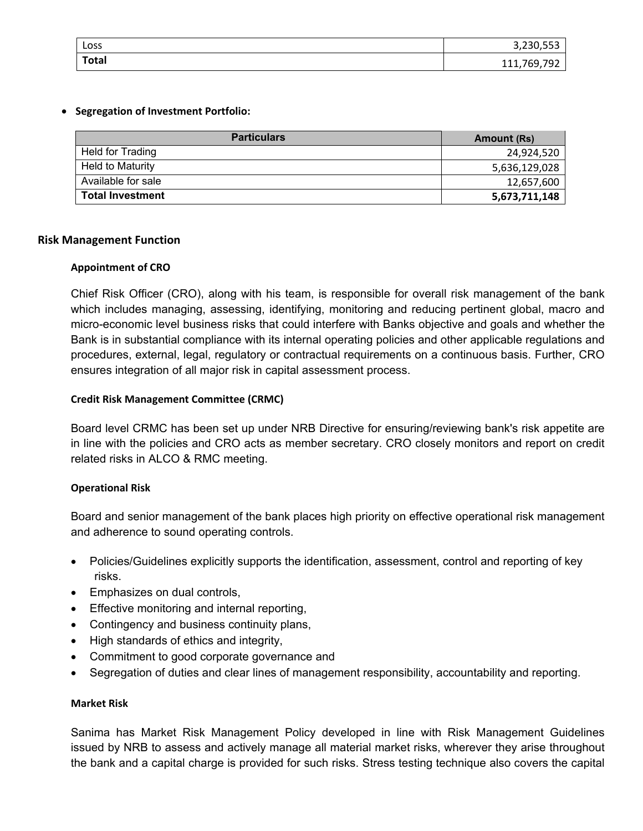| Loss         | $2.220$ FF2<br>3,230,553        |
|--------------|---------------------------------|
| <b>Total</b> | 760<br>ᄀᅆ<br>111, <i>1</i> 00,7 |

### • **Segregation of Investment Portfolio:**

| <b>Particulars</b>      | Amount (Rs)   |
|-------------------------|---------------|
| Held for Trading        | 24,924,520    |
| <b>Held to Maturity</b> | 5,636,129,028 |
| Available for sale      | 12,657,600    |
| <b>Total Investment</b> | 5,673,711,148 |

## **Risk Management Function**

## **Appointment of CRO**

Chief Risk Officer (CRO), along with his team, is responsible for overall risk management of the bank which includes managing, assessing, identifying, monitoring and reducing pertinent global, macro and micro-economic level business risks that could interfere with Banks objective and goals and whether the Bank is in substantial compliance with its internal operating policies and other applicable regulations and procedures, external, legal, regulatory or contractual requirements on a continuous basis. Further, CRO ensures integration of all major risk in capital assessment process.

## **Credit Risk Management Committee (CRMC)**

Board level CRMC has been set up under NRB Directive for ensuring/reviewing bank's risk appetite are in line with the policies and CRO acts as member secretary. CRO closely monitors and report on credit related risks in ALCO & RMC meeting.

## **Operational Risk**

Board and senior management of the bank places high priority on effective operational risk management and adherence to sound operating controls.

- Policies/Guidelines explicitly supports the identification, assessment, control and reporting of key risks.
- Emphasizes on dual controls,
- Effective monitoring and internal reporting,
- Contingency and business continuity plans,
- High standards of ethics and integrity,
- Commitment to good corporate governance and
- Segregation of duties and clear lines of management responsibility, accountability and reporting.

#### **Market Risk**

Sanima has Market Risk Management Policy developed in line with Risk Management Guidelines issued by NRB to assess and actively manage all material market risks, wherever they arise throughout the bank and a capital charge is provided for such risks. Stress testing technique also covers the capital